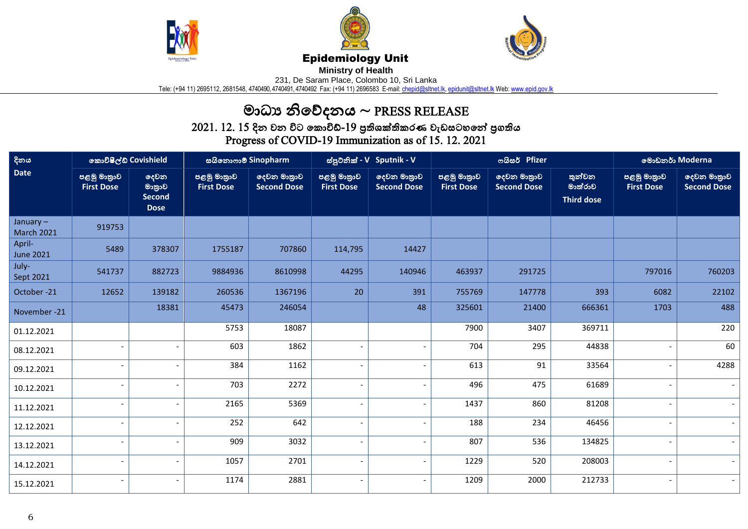





## Epidemiology Unit

**Ministry of Health** 

231, De Saram Place, Colombo 10, Sri Lanka

Tele: (+94 11) 2695112, 2681548, 4740490, 4740491, 4740492 Fax: (+94 11) 2696583 E-mail: <u>chepid@sltnet.lk, [epidunit@sltnet.lk](mailto:epidunit@sltnet.lk)</u> Web: <u>www.epid.gov.lk</u>

## මාධ්ය නිවේදනය ~ PRESS RELEASE

 $2021$ .  $12$ .  $15$  දින වන විට කොවිඩ්- $19$  පුතිශක්තිකරණ වැඩසටහනේ පුගතිය Progress of COVID-19 Immunization as of 15. 12. 2021

| දිනය<br><b>Date</b>              | කොවිෂීල්ඩ් Covishield            |                                                | සයිනොෆාම් Sinopharm              |                                   | ස්පුටනික් - V Sputnik - V        |                                   |                                  | ოයිසර් Pfizer                     | මොඩනර් Moderna                         |                                  |                                   |
|----------------------------------|----------------------------------|------------------------------------------------|----------------------------------|-----------------------------------|----------------------------------|-----------------------------------|----------------------------------|-----------------------------------|----------------------------------------|----------------------------------|-----------------------------------|
|                                  | පළමු මාතුාව<br><b>First Dose</b> | දෙවන<br>මාතුාව<br><b>Second</b><br><b>Dose</b> | පළමු මාතුාව<br><b>First Dose</b> | දෙවන මාතුාව<br><b>Second Dose</b> | පළමු මාතුාව<br><b>First Dose</b> | දෙවන මාතුාව<br><b>Second Dose</b> | පළමු මාතුාව<br><b>First Dose</b> | දෙවන මාතුාව<br><b>Second Dose</b> | තුන්වන<br>මාත්රාව<br><b>Third dose</b> | පළමු මාතුාව<br><b>First Dose</b> | දෙවන මාතුාව<br><b>Second Dose</b> |
| January $-$<br><b>March 2021</b> | 919753                           |                                                |                                  |                                   |                                  |                                   |                                  |                                   |                                        |                                  |                                   |
| April-<br><b>June 2021</b>       | 5489                             | 378307                                         | 1755187                          | 707860                            | 114,795                          | 14427                             |                                  |                                   |                                        |                                  |                                   |
| July-<br>Sept 2021               | 541737                           | 882723                                         | 9884936                          | 8610998                           | 44295                            | 140946                            | 463937                           | 291725                            |                                        | 797016                           | 760203                            |
| October-21                       | 12652                            | 139182                                         | 260536                           | 1367196                           | 20                               | 391                               | 755769                           | 147778                            | 393                                    | 6082                             | 22102                             |
| November -21                     |                                  | 18381                                          | 45473                            | 246054                            |                                  | 48                                | 325601                           | 21400                             | 666361                                 | 1703                             | 488                               |
| 01.12.2021                       |                                  |                                                | 5753                             | 18087                             |                                  |                                   | 7900                             | 3407                              | 369711                                 |                                  | 220                               |
| 08.12.2021                       |                                  |                                                | 603                              | 1862                              |                                  | $\overline{\phantom{a}}$          | 704                              | 295                               | 44838                                  |                                  | 60                                |
| 09.12.2021                       |                                  |                                                | 384                              | 1162                              |                                  | $\blacksquare$                    | 613                              | 91                                | 33564                                  |                                  | 4288                              |
| 10.12.2021                       |                                  |                                                | 703                              | 2272                              |                                  | $\overline{\phantom{a}}$          | 496                              | 475                               | 61689                                  |                                  |                                   |
| 11.12.2021                       |                                  |                                                | 2165                             | 5369                              |                                  | $\overline{\phantom{a}}$          | 1437                             | 860                               | 81208                                  |                                  |                                   |
| 12.12.2021                       |                                  |                                                | 252                              | 642                               |                                  | $\overline{\phantom{a}}$          | 188                              | 234                               | 46456                                  |                                  |                                   |
| 13.12.2021                       |                                  |                                                | 909                              | 3032                              |                                  | $\overline{\phantom{a}}$          | 807                              | 536                               | 134825                                 |                                  |                                   |
| 14.12.2021                       | $\overline{\phantom{0}}$         |                                                | 1057                             | 2701                              |                                  | $\overline{a}$                    | 1229                             | 520                               | 208003                                 |                                  | $\sim$                            |
| 15.12.2021                       | $\overline{\phantom{a}}$         |                                                | 1174                             | 2881                              |                                  | $\overline{a}$                    | 1209                             | 2000                              | 212733                                 |                                  |                                   |